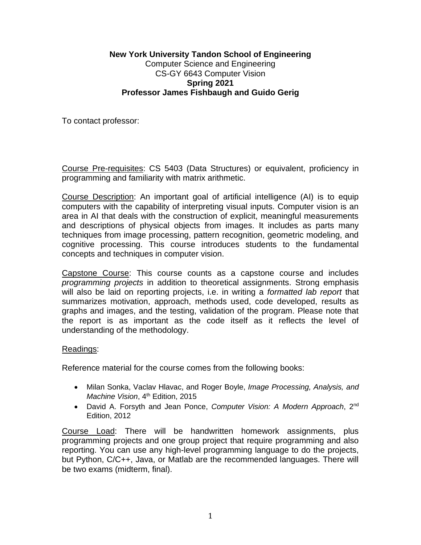### **New York University Tandon School of Engineering**  Computer Science and Engineering CS-GY 6643 Computer Vision **Spring 2021 Professor James Fishbaugh and Guido Gerig**

To contact professor:

Course Pre-requisites: CS 5403 (Data Structures) or equivalent, proficiency in programming and familiarity with matrix arithmetic.

Course Description: An important goal of artificial intelligence (AI) is to equip computers with the capability of interpreting visual inputs. Computer vision is an area in AI that deals with the construction of explicit, meaningful measurements and descriptions of physical objects from images. It includes as parts many techniques from image processing, pattern recognition, geometric modeling, and cognitive processing. This course introduces students to the fundamental concepts and techniques in computer vision.

Capstone Course: This course counts as a capstone course and includes *programming projects* in addition to theoretical assignments. Strong emphasis will also be laid on reporting projects, i.e. in writing a *formatted lab report* that summarizes motivation, approach, methods used, code developed, results as graphs and images, and the testing, validation of the program. Please note that the report is as important as the code itself as it reflects the level of understanding of the methodology.

### Readings:

Reference material for the course comes from the following books:

- Milan Sonka, Vaclav Hlavac, and Roger Boyle, *Image Processing, Analysis, and Machine Vision, 4<sup>th</sup> Edition, 2015*
- David A. Forsyth and Jean Ponce, *Computer Vision: A Modern Approach*, 2nd Edition, 2012

Course Load: There will be handwritten homework assignments, plus programming projects and one group project that require programming and also reporting. You can use any high-level programming language to do the projects, but Python, C/C++, Java, or Matlab are the recommended languages. There will be two exams (midterm, final).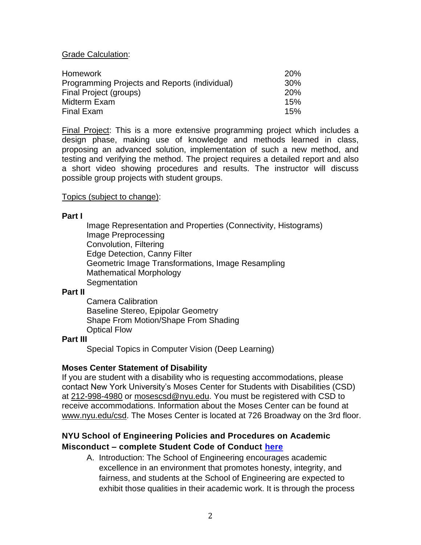#### Grade Calculation:

| Homework                                      | 20%        |
|-----------------------------------------------|------------|
| Programming Projects and Reports (individual) | 30%        |
| Final Project (groups)                        | 20%        |
| Midterm Exam<br>Final Exam                    | 15%<br>15% |

Final Project: This is a more extensive programming project which includes a design phase, making use of knowledge and methods learned in class, proposing an advanced solution, implementation of such a new method, and testing and verifying the method. The project requires a detailed report and also a short video showing procedures and results. The instructor will discuss possible group projects with student groups.

#### Topics (subject to change):

#### **Part I**

Image Representation and Properties (Connectivity, Histograms) Image Preprocessing Convolution, Filtering Edge Detection, Canny Filter Geometric Image Transformations, Image Resampling Mathematical Morphology **Segmentation** 

#### **Part II**

Camera Calibration Baseline Stereo, Epipolar Geometry Shape From Motion/Shape From Shading Optical Flow

#### **Part III**

Special Topics in Computer Vision (Deep Learning)

### **Moses Center Statement of Disability**

If you are student with a disability who is requesting accommodations, please contact New York University's Moses Center for Students with Disabilities (CSD) at [212-998-4980](tel:212-998-4980) or [mosescsd@nyu.edu.](mailto:mosescsd@nyu.edu) You must be registered with CSD to receive accommodations. Information about the Moses Center can be found at [www.nyu.edu/csd.](http://www.nyu.edu/csd) The Moses Center is located at 726 Broadway on the 3rd floor.

## **NYU School of Engineering Policies and Procedures on Academic Misconduct – complete Student Code of Conduct [here](https://engineering.nyu.edu/campus-and-community/student-life/office-student-affairs/policies/student-code-conduct)**

A. Introduction: The School of Engineering encourages academic excellence in an environment that promotes honesty, integrity, and fairness, and students at the School of Engineering are expected to exhibit those qualities in their academic work. It is through the process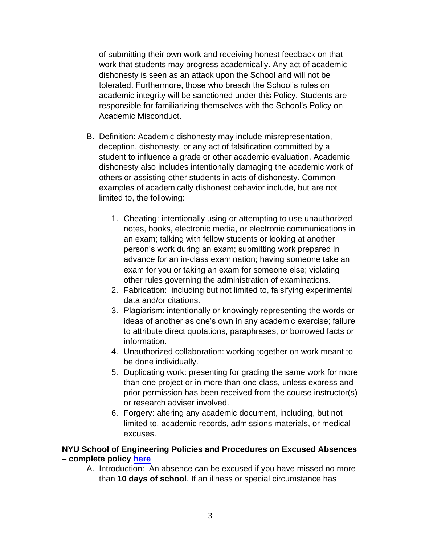of submitting their own work and receiving honest feedback on that work that students may progress academically. Any act of academic dishonesty is seen as an attack upon the School and will not be tolerated. Furthermore, those who breach the School's rules on academic integrity will be sanctioned under this Policy. Students are responsible for familiarizing themselves with the School's Policy on Academic Misconduct.

- B. Definition: Academic dishonesty may include misrepresentation, deception, dishonesty, or any act of falsification committed by a student to influence a grade or other academic evaluation. Academic dishonesty also includes intentionally damaging the academic work of others or assisting other students in acts of dishonesty. Common examples of academically dishonest behavior include, but are not limited to, the following:
	- 1. Cheating: intentionally using or attempting to use unauthorized notes, books, electronic media, or electronic communications in an exam; talking with fellow students or looking at another person's work during an exam; submitting work prepared in advance for an in-class examination; having someone take an exam for you or taking an exam for someone else; violating other rules governing the administration of examinations.
	- 2. Fabrication: including but not limited to, falsifying experimental data and/or citations.
	- 3. Plagiarism: intentionally or knowingly representing the words or ideas of another as one's own in any academic exercise; failure to attribute direct quotations, paraphrases, or borrowed facts or information.
	- 4. Unauthorized collaboration: working together on work meant to be done individually.
	- 5. Duplicating work: presenting for grading the same work for more than one project or in more than one class, unless express and prior permission has been received from the course instructor(s) or research adviser involved.
	- 6. Forgery: altering any academic document, including, but not limited to, academic records, admissions materials, or medical excuses.

### **NYU School of Engineering Policies and Procedures on Excused Absences – complete policy [here](https://engineering.nyu.edu/campus-and-community/student-life/office-student-affairs/policies#chapter-id-30199)**

A. Introduction: An absence can be excused if you have missed no more than **10 days of school**. If an illness or special circumstance has